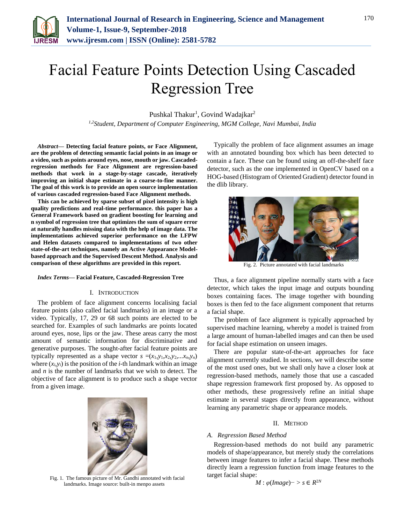

# Facial Feature Points Detection Using Cascaded Regression Tree

Pushkal Thakur<sup>1</sup>, Govind Wadajkar<sup>2</sup>

*1,2Student, Department of Computer Engineering, MGM College, Navi Mumbai, India*

*Abstract***— Detecting facial feature points, or Face Alignment, are the problem of detecting semantic facial points in an image or a video, such as points around eyes, nose, mouth or jaw. Cascadedregression methods for Face Alignment are regression-based methods that work in a stage-by-stage cascade, iteratively improving an initial shape estimate in a coarse-to-fine manner. The goal of this work is to provide an open source implementation of various cascaded regression-based Face Alignment methods.** 

**This can be achieved by sparse subset of pixel intensity is high quality predictions and real-time performance. this paper has a General Framework based on gradient boosting for learning and n symbol of regression tree that optimizes the sum of square error at naturally handles missing data with the help of image data. The implementations achieved superior performance on the LFPW and Helen datasets compared to implementations of two other state-of-the-art techniques, namely an Active Appearance Modelbased approach and the Supervised Descent Method. Analysis and comparison of these algorithms are provided in this report.**

#### *Index Terms***— Facial Feature, Cascaded-Regression Tree**

#### I. INTRODUCTION

The problem of face alignment concerns localising facial feature points (also called facial landmarks) in an image or a video. Typically, 17, 29 or 68 such points are elected to be searched for. Examples of such landmarks are points located around eyes, nose, lips or the jaw. These areas carry the most amount of semantic information for discriminative and generative purposes. The sought-after facial feature points are typically represented as a shape vector  $s = (x_1, y_1, x_2, y_2, \ldots, x_n, y_n)$ where  $(x_i, y_i)$  is the position of the *i*-th landmark within an image and *n* is the number of landmarks that we wish to detect. The objective of face alignment is to produce such a shape vector from a given image.



Fig. 1. The famous picture of Mr. Gandhi annotated with facial landmarks. Image source: built-in menpo assets

Typically the problem of face alignment assumes an image with an annotated bounding box which has been detected to contain a face. These can be found using an off-the-shelf face detector, such as the one implemented in OpenCV based on a HOG-based (Histogram of Oriented Gradient) detector found in the dlib library.



Fig. 2. Picture annotated with facial landmarks

Thus, a face alignment pipeline normally starts with a face detector, which takes the input image and outputs bounding boxes containing faces. The image together with bounding boxes is then fed to the face alignment component that returns a facial shape.

The problem of face alignment is typically approached by supervised machine learning, whereby a model is trained from a large amount of human-labelled images and can then be used for facial shape estimation on unseen images.

There are popular state-of-the-art approaches for face alignment currently studied. In sections, we will describe some of the most used ones, but we shall only have a closer look at regression-based methods, namely those that use a cascaded shape regression framework first proposed by. As opposed to other methods, these progressively refine an initial shape estimate in several stages directly from appearance, without learning any parametric shape or appearance models.

#### II. METHOD

# *A. Regression Based Method*

Regression-based methods do not build any parametric models of shape/appearance, but merely study the correlations between image features to infer a facial shape. These methods directly learn a regression function from image features to the target facial shape:

$$
M: \varphi(Image) -> s \in R^{2N}
$$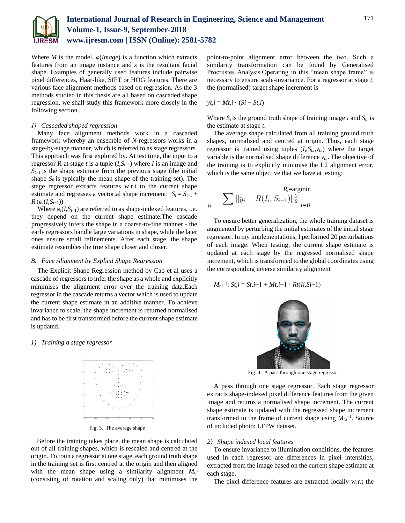

Where *M* is the model,  $\varphi$ (*Image*) is a function which extracts features from an image instance and *s* is the resultant facial shape. Examples of generally used features include pairwise pixel differences, Haar-like, SIFT or HOG features. There are various face alignment methods based on regression. As the 3 methods studied in this thesis are all based on cascaded shape regression, we shall study this framework more closely in the following section.

#### *1) Cascaded shaped regression*

Many face alignment methods work in a cascaded framework whereby an ensemble of *N* regressors works in a stage-by-stage manner, which is referred to as stage regressors. This approach was first explored by. At test time, the input to a regressor  $R_t$  at stage *t* is a tuple  $(I, S_{t-1})$  where *I* is an image and  $S_{t-1}$  is the shape estimate from the previous stage (the initial shape  $S_0$  is typically the mean shape of the training set). The stage regressor extracts features w.r.t to the current shape estimate and regresses a vectorial shape increment:  $S_t = S_{t-1}$  +  $R_t(\varphi_t(I, S_{t-1}))$ 

Where  $\varphi_t(I, S_{t-1})$  are referred to as shape-indexed features, i.e. they depend on the current shape estimate.The cascade progressively infers the shape in a coarse-to-fine manner - the early regressors handle large variations in shape, while the later ones ensure small refinements. After each stage, the shape estimate resembles the true shape closer and closer.

#### *B. Face Alignment by Explicit Shape Regression*

The Explicit Shape Regression method by Cao et al uses a cascade of regressors to infer the shape as a whole and explicitly minimises the alignment error over the training data.Each regressor in the cascade returns a vector which is used to update the current shape estimate in an additive manner. To achieve invariance to scale, the shape increment is returned normalised and has to be first transformed before the current shape estimate is updated.

#### *1) Training a stage regressor*



Fig. 3. The average shape

Before the training takes place, the mean shape is calculated out of all training shapes, which is rescaled and centred at the origin. To train a regressor at one stage, each ground truth shape in the training set is first centred at the origin and then aligned with the mean shape using a similarity alignment  $M_{t,i}$ (consisting of rotation and scaling only) that minimises the

point-to-point alignment error between the two. Such a similarity transformation can be found by Generalised Procrustes Analysis.Operating in this "mean shape frame" is necessary to ensure scale-invariance. For a regressor at stage *t*, the (normalised) target shape increment is

 $\gamma t, i = Mt, i \cdot (Si - St, i)$ 

Where  $S_i$  is the ground truth shape of training image *i* and  $S_{ti}$  is the estimate at stage *t*.

The average shape calculated from all training ground truth shapes, normalised and centred at origin. Thus, each stage regressor is trained using tuples  $(I_i, S_{t,i}, y_{t,i})$  where the target variable is the normalised shape difference *yt,i*. The objective of the training is to explicitly minimise the L2 alignment error, which is the same objective that we have at testing:

$$
\sum_{R} ||y_i - R(I_i, S_{i-1})||_2^2
$$
  

$$
\sum_{i=0}^{R_i = \text{argmin}}
$$

To ensure better generalization, the whole training dataset is augmented by perturbing the initial estimates of the initial stage regressor. In my implementations, I performed 20 perturbations of each image. When testing, the current shape estimate is updated at each stage by the regressed normalised shape increment, which is transformed to the global coordinates using the corresponding inverse similarity alignment

$$
M_{t,i}^{-1}: St, i = St, i-1 + Mt, i-1 \cdot Rt(Ii, Si-1)
$$



Fig. 4. A pass through one stage regressor.

A pass through one stage regressor. Each stage regressor extracts shape-indexed pixel difference features from the given image and returns a normalised shape increment. The current shape estimate is updated with the regressed shape increment transformed to the frame of current shape using  $M_{ti}$ <sup>-1</sup>. Source of included photo: LFPW dataset.

## *2) Shape indexed local features*

To ensure invariance to illumination conditions, the features used in each regressor are differences in pixel intensities, extracted from the image based on the current shape estimate at each stage.

The pixel-difference features are extracted locally w.r.t the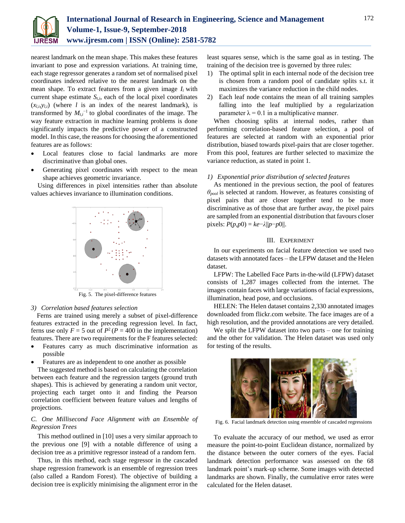

nearest landmark on the mean shape. This makes these features invariant to pose and expression variations. At training time, each stage regressor generates a random set of normalised pixel coordinates indexed relative to the nearest landmark on the mean shape. To extract features from a given image *Ii* with current shape estimate  $S_{t,i}$ , each of the local pixel coordinates  $(x_{l,i},y_{l,i})$  (where *l* is an index of the nearest landmark), is transformed by  $M_{t,i}$ <sup>-1</sup> to global coordinates of the image. The way feature extraction in machine learning problems is done significantly impacts the predictive power of a constructed model. In this case, the reasons for choosing the aforementioned features are as follows:

- Local features close to facial landmarks are more discriminative than global ones.
- Generating pixel coordinates with respect to the mean shape achieves geometric invariance.

Using differences in pixel intensities rather than absolute values achieves invariance to illumination conditions.



## *3) Correlation based features selection*

Ferns are trained using merely a subset of pixel-difference features extracted in the preceding regression level. In fact, ferns use only  $F = 5$  out of  $P^2(P = 400$  in the implementation) features. There are two requirements for the F features selected:

- Features carry as much discriminative information as possible
- Features are as independent to one another as possible

The suggested method is based on calculating the correlation between each feature and the regression targets (ground truth shapes). This is achieved by generating a random unit vector, projecting each target onto it and finding the Pearson correlation coefficient between feature values and lengths of projections.

# *C. One Millisecond Face Alignment with an Ensemble of Regression Trees*

This method outlined in [10] uses a very similar approach to the previous one [9] with a notable difference of using a decision tree as a primitive regressor instead of a random fern.

Thus, in this method, each stage regressor in the cascaded shape regression framework is an ensemble of regression trees (also called a Random Forest). The objective of building a decision tree is explicitly minimising the alignment error in the

least squares sense, which is the same goal as in testing. The training of the decision tree is governed by three rules:

- 1) The optimal split in each internal node of the decision tree is chosen from a random pool of candidate splits s.t. it maximizes the variance reduction in the child nodes.
- 2) Each leaf node contains the mean of all training samples falling into the leaf multiplied by a regularization parameter  $\lambda = 0.1$  in a multiplicative manner.

When choosing splits at internal nodes, rather than performing correlation-based feature selection, a pool of features are selected at random with an exponential prior distribution, biased towards pixel-pairs that are closer together. From this pool, features are further selected to maximize the variance reduction, as stated in point 1.

#### *1) Exponential prior distribution of selected features*

As mentioned in the previous section, the pool of features *θpool* is selected at random. However, as features consisting of pixel pairs that are closer together tend to be more discriminative as of those that are further away, the pixel pairs are sampled from an exponential distribution that favours closer  $\text{pixels: } P(p, p0) = ke - \lambda ||p - p0||.$ 

## III. EXPERIMENT

In our experiments on facial feature detection we used two datasets with annotated faces – the LFPW dataset and the Helen dataset.

LFPW: The Labelled Face Parts in-the-wild (LFPW) dataset consists of 1,287 images collected from the internet. The images contain faces with large variations of facial expressions, illumination, head pose, and occlusions.

HELEN: The Helen dataset contains 2,330 annotated images downloaded from flickr.com website. The face images are of a high resolution, and the provided annotations are very detailed.

We split the LFPW dataset into two parts – one for training and the other for validation. The Helen dataset was used only for testing of the results.



Fig. 6. Facial landmark detection using ensemble of cascaded regressions

To evaluate the accuracy of our method, we used as error measure the point-to-point Euclidean distance, normalized by the distance between the outer corners of the eyes. Facial landmark detection performance was assessed on the 68 landmark point's mark-up scheme. Some images with detected landmarks are shown. Finally, the cumulative error rates were calculated for the Helen dataset.